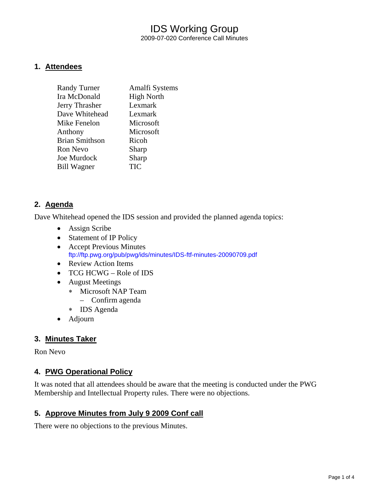# IDS Working Group 2009-07-020 Conference Call Minutes

#### **1. Attendees**

| <b>Randy Turner</b>   | Amalfi Systems    |
|-----------------------|-------------------|
| Ira McDonald          | <b>High North</b> |
| Jerry Thrasher        | Lexmark           |
| Dave Whitehead        | Lexmark           |
| Mike Fenelon          | Microsoft         |
| Anthony               | Microsoft         |
| <b>Brian Smithson</b> | Ricoh             |
| Ron Nevo              | Sharp             |
| Joe Murdock           | Sharp             |
| <b>Bill Wagner</b>    | TIC               |

#### **2. Agenda**

Dave Whitehead opened the IDS session and provided the planned agenda topics:

- Assign Scribe
- Statement of IP Policy
- Accept Previous Minutes <ftp://ftp.pwg.org/pub/pwg/ids/minutes/IDS-ftf-minutes-20090709.pdf>
- Review Action Items
- TCG HCWG Role of IDS
- August Meetings
	- ∗ Microsoft NAP Team
		- Confirm agenda
	- ∗ IDS Agenda
- Adjourn

### **3. Minutes Taker**

Ron Nevo

### **4. PWG Operational Policy**

It was noted that all attendees should be aware that the meeting is conducted under the PWG Membership and Intellectual Property rules. There were no objections.

### **5. Approve Minutes from July 9 2009 Conf call**

There were no objections to the previous Minutes.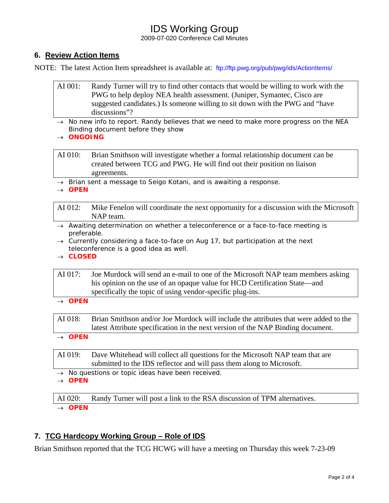# IDS Working Group

2009-07-020 Conference Call Minutes

## **6. Review Action Items**

NOTE: The latest Action Item spreadsheet is available at: <ftp://ftp.pwg.org/pub/pwg/ids/ActionItems/>

- AI 001: Randy Turner will try to find other contacts that would be willing to work with the PWG to help deploy NEA health assessment. (Juniper, Symantec, Cisco are suggested candidates.) Is someone willing to sit down with the PWG and "have discussions"?
- → *No new info to report. Randy believes that we need to make more progress on the NEA Binding document before they show*
- → *ONGOING*

AI 010: Brian Smithson will investigate whether a formal relationship document can be created between TCG and PWG. He will find out their position on liaison agreements.

→ *Brian sent a message to Seigo Kotani, and is awaiting a response.* 

→ *OPEN* 

AI 012: Mike Fenelon will coordinate the next opportunity for a discussion with the Microsoft NAP team.

- → *Awaiting determination on whether a teleconference or a face-to-face meeting is preferable.*
- → *Currently considering a face-to-face on Aug 17, but participation at the next teleconference is a good idea as well.*
- → *CLOSED*

AI 017: Joe Murdock will send an e-mail to one of the Microsoft NAP team members asking his opinion on the use of an opaque value for HCD Certification State—and specifically the topic of using vendor-specific plug-ins.

→ *OPEN* 

AI 018: Brian Smithson and/or Joe Murdock will include the attributes that were added to the latest Attribute specification in the next version of the NAP Binding document.

→ *OPEN* 

AI 019: Dave Whitehead will collect all questions for the Microsoft NAP team that are submitted to the IDS reflector and will pass them along to Microsoft.

- → *No questions or topic ideas have been received.*
- → *OPEN*

AI 020: Randy Turner will post a link to the RSA discussion of TPM alternatives. → *OPEN* 

## **7. TCG Hardcopy Working Group – Role of IDS**

Brian Smithson reported that the TCG HCWG will have a meeting on Thursday this week 7-23-09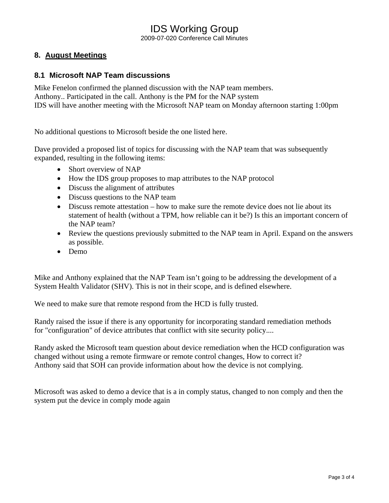## IDS Working Group 2009-07-020 Conference Call Minutes

## **8. August Meetings**

#### **8.1 Microsoft NAP Team discussions**

Mike Fenelon confirmed the planned discussion with the NAP team members. Anthony.. Participated in the call. Anthony is the PM for the NAP system IDS will have another meeting with the Microsoft NAP team on Monday afternoon starting 1:00pm

No additional questions to Microsoft beside the one listed here.

Dave provided a proposed list of topics for discussing with the NAP team that was subsequently expanded, resulting in the following items:

- Short overview of NAP
- How the IDS group proposes to map attributes to the NAP protocol
- Discuss the alignment of attributes
- Discuss questions to the NAP team
- Discuss remote attestation how to make sure the remote device does not lie about its statement of health (without a TPM, how reliable can it be?) Is this an important concern of the NAP team?
- Review the questions previously submitted to the NAP team in April. Expand on the answers as possible.
- Demo

Mike and Anthony explained that the NAP Team isn't going to be addressing the development of a System Health Validator (SHV). This is not in their scope, and is defined elsewhere.

We need to make sure that remote respond from the HCD is fully trusted.

Randy raised the issue if there is any opportunity for incorporating standard remediation methods for "configuration" of device attributes that conflict with site security policy....

Randy asked the Microsoft team question about device remediation when the HCD configuration was changed without using a remote firmware or remote control changes, How to correct it? Anthony said that SOH can provide information about how the device is not complying.

Microsoft was asked to demo a device that is a in comply status, changed to non comply and then the system put the device in comply mode again